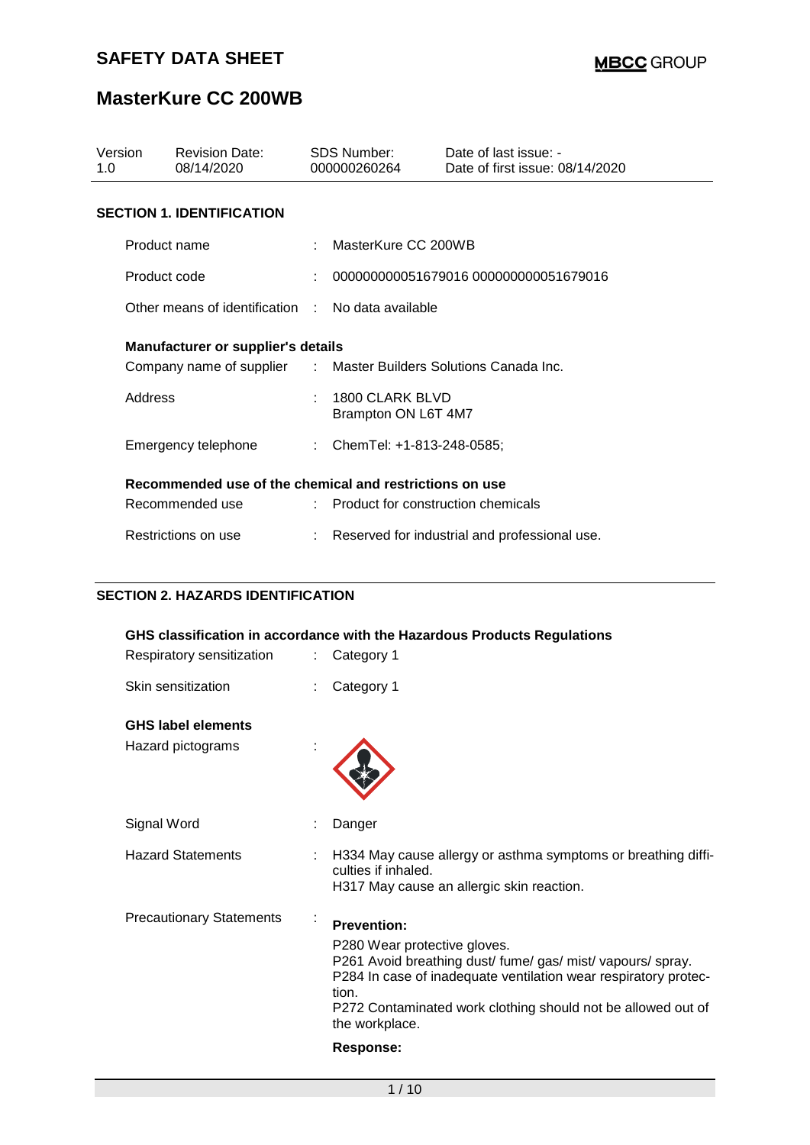# **MasterKure CC 200WB**

| Version<br>1.0 | <b>Revision Date:</b><br>08/14/2020                              |  | SDS Number:<br>000000260264            | Date of last issue: -<br>Date of first issue: 08/14/2020 |  |  |  |
|----------------|------------------------------------------------------------------|--|----------------------------------------|----------------------------------------------------------|--|--|--|
|                | <b>SECTION 1. IDENTIFICATION</b>                                 |  |                                        |                                                          |  |  |  |
|                | Product name                                                     |  | MasterKure CC 200WB                    |                                                          |  |  |  |
|                | Product code                                                     |  |                                        | 000000000051679016 000000000051679016                    |  |  |  |
|                | Other means of identification : No data available                |  |                                        |                                                          |  |  |  |
|                | <b>Manufacturer or supplier's details</b>                        |  |                                        |                                                          |  |  |  |
|                | Company name of supplier : Master Builders Solutions Canada Inc. |  |                                        |                                                          |  |  |  |
|                | Address                                                          |  | 1800 CLARK BLVD<br>Brampton ON L6T 4M7 |                                                          |  |  |  |
|                | Emergency telephone                                              |  | : ChemTel: +1-813-248-0585;            |                                                          |  |  |  |
|                | Recommended use of the chemical and restrictions on use          |  |                                        |                                                          |  |  |  |
|                | Recommended use                                                  |  | : Product for construction chemicals   |                                                          |  |  |  |
|                | Restrictions on use                                              |  |                                        | Reserved for industrial and professional use.            |  |  |  |

### **SECTION 2. HAZARDS IDENTIFICATION**

|                                 |                | GHS classification in accordance with the Hazardous Products Regulations                                                                                                                                                                                                   |
|---------------------------------|----------------|----------------------------------------------------------------------------------------------------------------------------------------------------------------------------------------------------------------------------------------------------------------------------|
| Respiratory sensitization       |                | Category 1                                                                                                                                                                                                                                                                 |
| Skin sensitization              |                | Category 1                                                                                                                                                                                                                                                                 |
| <b>GHS label elements</b>       |                |                                                                                                                                                                                                                                                                            |
| Hazard pictograms               |                |                                                                                                                                                                                                                                                                            |
| Signal Word                     |                | Danger                                                                                                                                                                                                                                                                     |
| <b>Hazard Statements</b>        |                | H334 May cause allergy or asthma symptoms or breathing diffi-<br>culties if inhaled.<br>H317 May cause an allergic skin reaction.                                                                                                                                          |
| <b>Precautionary Statements</b> | $\blacksquare$ | <b>Prevention:</b><br>P280 Wear protective gloves.<br>P261 Avoid breathing dust/fume/gas/mist/vapours/spray.<br>P284 In case of inadequate ventilation wear respiratory protec-<br>tion.<br>P272 Contaminated work clothing should not be allowed out of<br>the workplace. |
|                                 |                | <b>Response:</b>                                                                                                                                                                                                                                                           |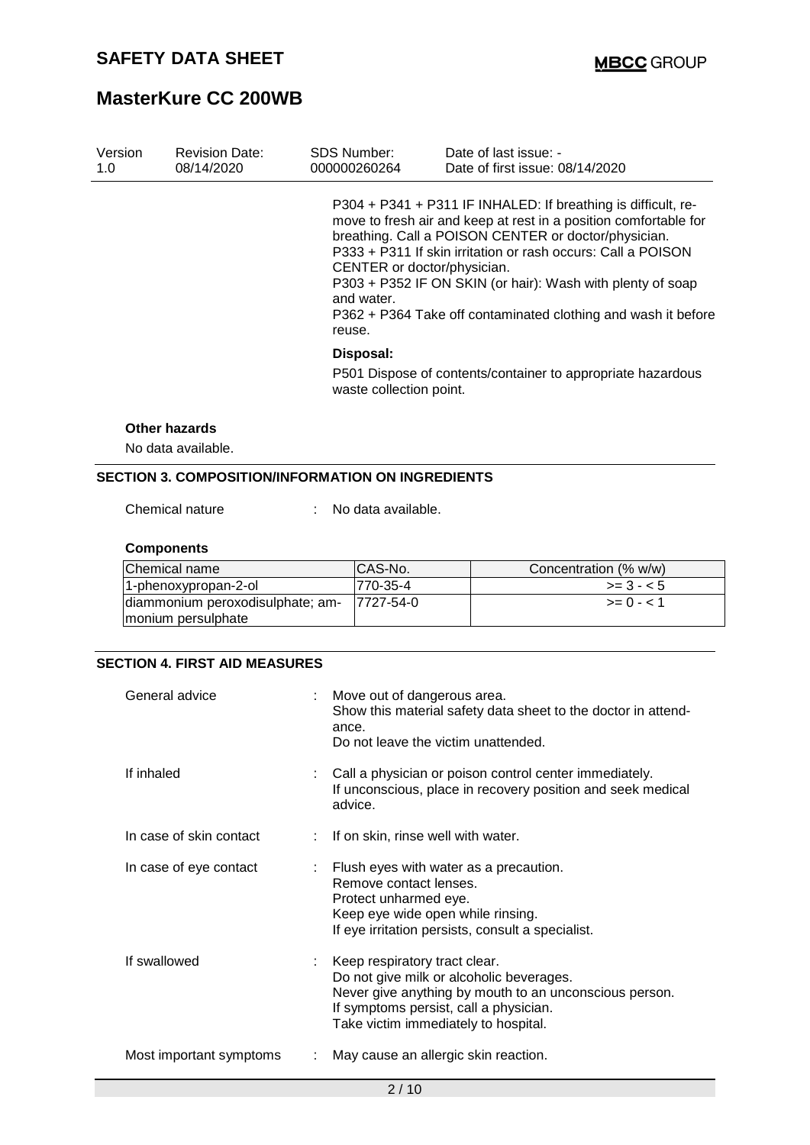# **MasterKure CC 200WB**

|                                     |                                                     | P304 + P341 + P311 IF INHALED: If breathing is difficult, re-                                                                                                                                                                                                                                                           |
|-------------------------------------|-----------------------------------------------------|-------------------------------------------------------------------------------------------------------------------------------------------------------------------------------------------------------------------------------------------------------------------------------------------------------------------------|
|                                     | CENTER or doctor/physician.<br>and water.<br>reuse. | move to fresh air and keep at rest in a position comfortable for<br>breathing. Call a POISON CENTER or doctor/physician.<br>P333 + P311 If skin irritation or rash occurs: Call a POISON<br>P303 + P352 IF ON SKIN (or hair): Wash with plenty of soap<br>P362 + P364 Take off contaminated clothing and wash it before |
|                                     | Disposal:<br>waste collection point.                | P501 Dispose of contents/container to appropriate hazardous                                                                                                                                                                                                                                                             |
| Other hazards<br>No data available. |                                                     |                                                                                                                                                                                                                                                                                                                         |

Chemical nature : No data available.

#### **Components**

| Chemical name                    | CAS-No.   | Concentration (% w/w) |
|----------------------------------|-----------|-----------------------|
| 1-phenoxypropan-2-ol             | 1770-35-4 | $>= 3 - 5$            |
| diammonium peroxodisulphate; am- | 7727-54-0 | $>= 0 - 1$            |
| monium persulphate               |           |                       |

### **SECTION 4. FIRST AID MEASURES**

| General advice          | Move out of dangerous area.<br>Show this material safety data sheet to the doctor in attend-<br>ance.<br>Do not leave the victim unattended.                                                                          |
|-------------------------|-----------------------------------------------------------------------------------------------------------------------------------------------------------------------------------------------------------------------|
| If inhaled              | : Call a physician or poison control center immediately.<br>If unconscious, place in recovery position and seek medical<br>advice.                                                                                    |
| In case of skin contact | : If on skin, rinse well with water.                                                                                                                                                                                  |
| In case of eye contact  | $\therefore$ Flush eyes with water as a precaution.<br>Remove contact lenses.<br>Protect unharmed eye.<br>Keep eye wide open while rinsing.<br>If eye irritation persists, consult a specialist.                      |
| If swallowed            | Keep respiratory tract clear.<br>Do not give milk or alcoholic beverages.<br>Never give anything by mouth to an unconscious person.<br>If symptoms persist, call a physician.<br>Take victim immediately to hospital. |
| Most important symptoms | May cause an allergic skin reaction.                                                                                                                                                                                  |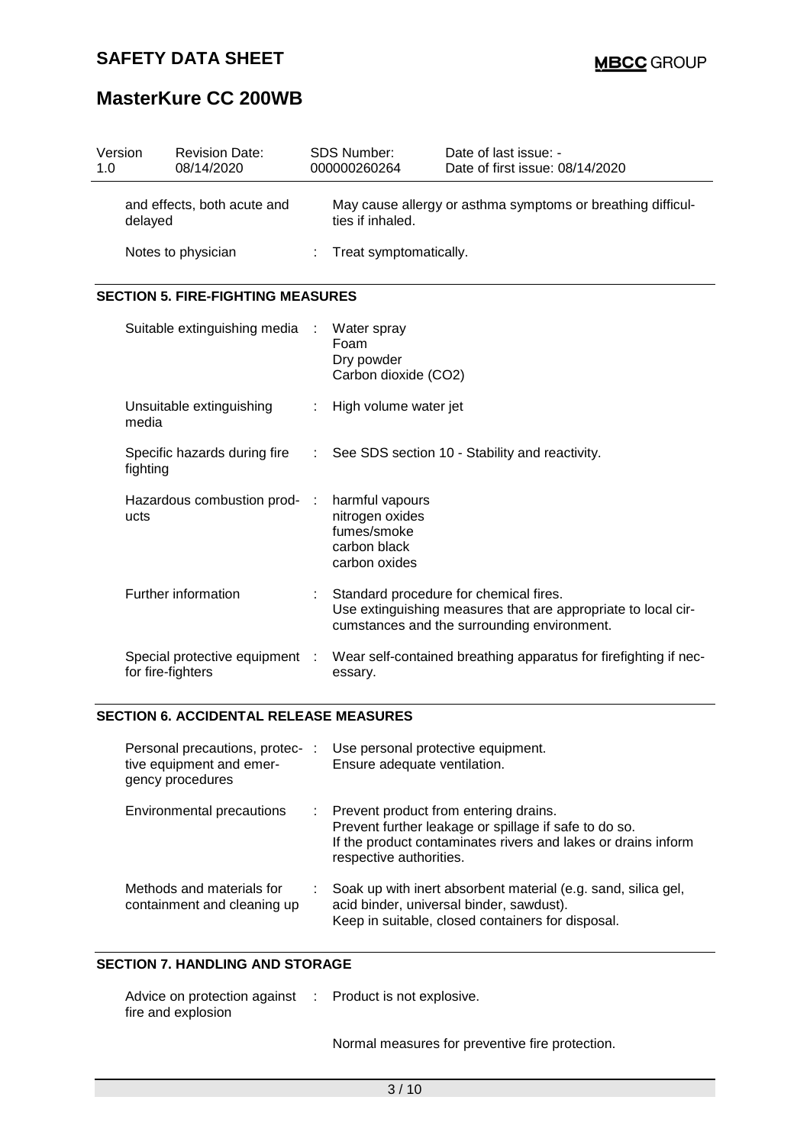# **MasterKure CC 200WB**

| Version<br>1.0                         |                   | <b>Revision Date:</b><br>08/14/2020           |                       | <b>SDS Number:</b><br>000000260264                                                 | Date of last issue: -<br>Date of first issue: 08/14/2020                                                                                               |
|----------------------------------------|-------------------|-----------------------------------------------|-----------------------|------------------------------------------------------------------------------------|--------------------------------------------------------------------------------------------------------------------------------------------------------|
| and effects, both acute and<br>delayed |                   |                                               | ties if inhaled.      | May cause allergy or asthma symptoms or breathing difficul-                        |                                                                                                                                                        |
|                                        |                   | Notes to physician                            |                       | Treat symptomatically.                                                             |                                                                                                                                                        |
|                                        |                   | <b>SECTION 5. FIRE-FIGHTING MEASURES</b>      |                       |                                                                                    |                                                                                                                                                        |
|                                        |                   | Suitable extinguishing media                  | ÷                     | Water spray<br>Foam<br>Dry powder<br>Carbon dioxide (CO2)                          |                                                                                                                                                        |
|                                        | media             | Unsuitable extinguishing                      | ÷                     | High volume water jet                                                              |                                                                                                                                                        |
|                                        | fighting          | Specific hazards during fire                  | $\mathbb{C}^{\times}$ |                                                                                    | See SDS section 10 - Stability and reactivity.                                                                                                         |
|                                        | ucts              | Hazardous combustion prod-                    | - 11                  | harmful vapours<br>nitrogen oxides<br>fumes/smoke<br>carbon black<br>carbon oxides |                                                                                                                                                        |
|                                        |                   | Further information                           |                       |                                                                                    | Standard procedure for chemical fires.<br>Use extinguishing measures that are appropriate to local cir-<br>cumstances and the surrounding environment. |
|                                        | for fire-fighters | Special protective equipment :                |                       | essary.                                                                            | Wear self-contained breathing apparatus for firefighting if nec-                                                                                       |
|                                        |                   | <b>SECTION 6. ACCIDENTAL RELEASE MEASURES</b> |                       |                                                                                    |                                                                                                                                                        |
|                                        |                   | Personal precautions, protec- :               |                       | Use personal protective equipment.                                                 |                                                                                                                                                        |

| Personal precautions, protec-<br>tive equipment and emer-<br>gency procedures | Use personal protective equipment.<br>Ensure adequate ventilation.                                                                                                                           |
|-------------------------------------------------------------------------------|----------------------------------------------------------------------------------------------------------------------------------------------------------------------------------------------|
| Environmental precautions                                                     | : Prevent product from entering drains.<br>Prevent further leakage or spillage if safe to do so.<br>If the product contaminates rivers and lakes or drains inform<br>respective authorities. |
| Methods and materials for<br>containment and cleaning up                      | Soak up with inert absorbent material (e.g. sand, silica gel,<br>acid binder, universal binder, sawdust).<br>Keep in suitable, closed containers for disposal.                               |

## **SECTION 7. HANDLING AND STORAGE**

| Advice on protection against | : Product is not explosive. |
|------------------------------|-----------------------------|
| fire and explosion           |                             |

Normal measures for preventive fire protection.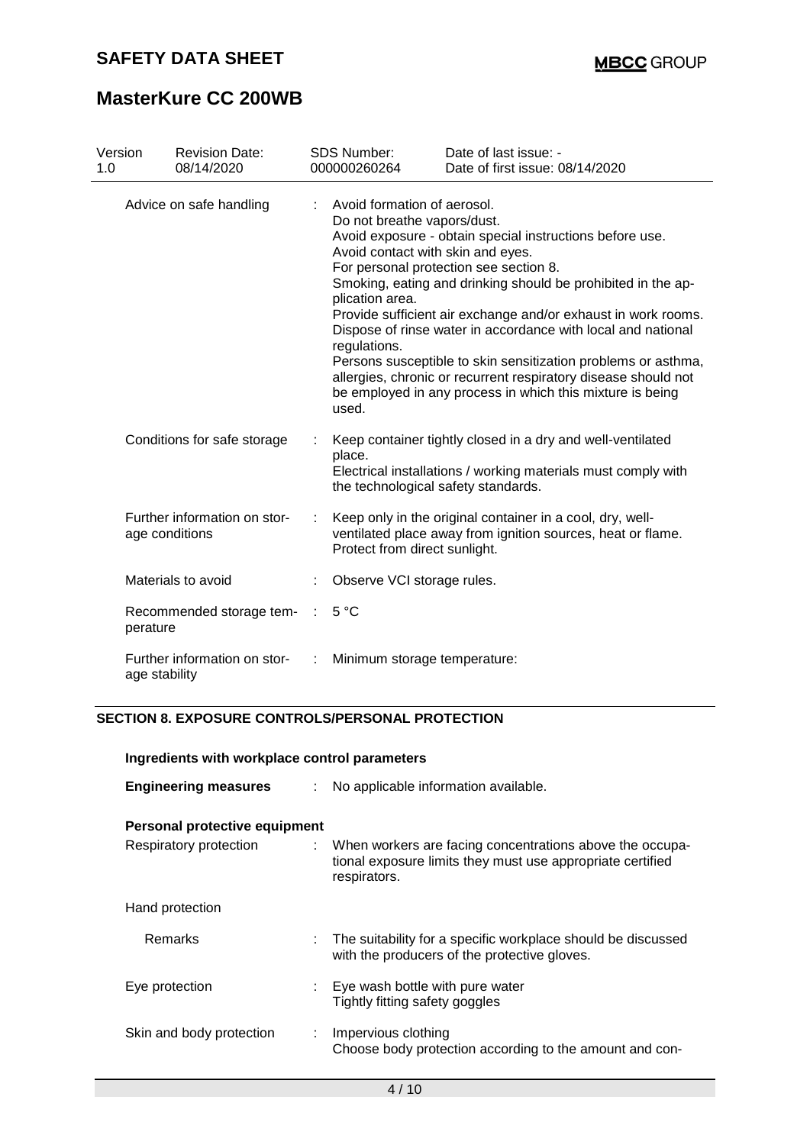# **MasterKure CC 200WB**

| Version<br>1.0 | <b>Revision Date:</b><br>08/14/2020            | <b>SDS Number:</b><br>000000260264                                                                                                          | Date of last issue: -<br>Date of first issue: 08/14/2020                                                                                                                                                                                                                                                                                                                                                                                                                                            |
|----------------|------------------------------------------------|---------------------------------------------------------------------------------------------------------------------------------------------|-----------------------------------------------------------------------------------------------------------------------------------------------------------------------------------------------------------------------------------------------------------------------------------------------------------------------------------------------------------------------------------------------------------------------------------------------------------------------------------------------------|
|                | Advice on safe handling                        | Avoid formation of aerosol.<br>Do not breathe vapors/dust.<br>Avoid contact with skin and eyes.<br>plication area.<br>regulations.<br>used. | Avoid exposure - obtain special instructions before use.<br>For personal protection see section 8.<br>Smoking, eating and drinking should be prohibited in the ap-<br>Provide sufficient air exchange and/or exhaust in work rooms.<br>Dispose of rinse water in accordance with local and national<br>Persons susceptible to skin sensitization problems or asthma,<br>allergies, chronic or recurrent respiratory disease should not<br>be employed in any process in which this mixture is being |
|                | Conditions for safe storage                    | place.                                                                                                                                      | Keep container tightly closed in a dry and well-ventilated<br>Electrical installations / working materials must comply with<br>the technological safety standards.                                                                                                                                                                                                                                                                                                                                  |
|                | Further information on stor-<br>age conditions | Protect from direct sunlight.                                                                                                               | Keep only in the original container in a cool, dry, well-<br>ventilated place away from ignition sources, heat or flame.                                                                                                                                                                                                                                                                                                                                                                            |
|                | Materials to avoid                             | Observe VCI storage rules.                                                                                                                  |                                                                                                                                                                                                                                                                                                                                                                                                                                                                                                     |
|                | Recommended storage tem-<br>perature           | 5 °C                                                                                                                                        |                                                                                                                                                                                                                                                                                                                                                                                                                                                                                                     |
|                | Further information on stor-<br>age stability  | Minimum storage temperature:                                                                                                                |                                                                                                                                                                                                                                                                                                                                                                                                                                                                                                     |

#### **SECTION 8. EXPOSURE CONTROLS/PERSONAL PROTECTION**

| Ingredients with workplace control parameters |    |                                                                                                                                          |  |  |  |
|-----------------------------------------------|----|------------------------------------------------------------------------------------------------------------------------------------------|--|--|--|
| <b>Engineering measures</b>                   | t. | No applicable information available.                                                                                                     |  |  |  |
| Personal protective equipment                 |    |                                                                                                                                          |  |  |  |
| Respiratory protection                        |    | : When workers are facing concentrations above the occupa-<br>tional exposure limits they must use appropriate certified<br>respirators. |  |  |  |
| Hand protection                               |    |                                                                                                                                          |  |  |  |
| Remarks                                       |    | : The suitability for a specific workplace should be discussed<br>with the producers of the protective gloves.                           |  |  |  |
| Eye protection                                |    | Eye wash bottle with pure water<br>Tightly fitting safety goggles                                                                        |  |  |  |
| Skin and body protection                      |    | Impervious clothing<br>Choose body protection according to the amount and con-                                                           |  |  |  |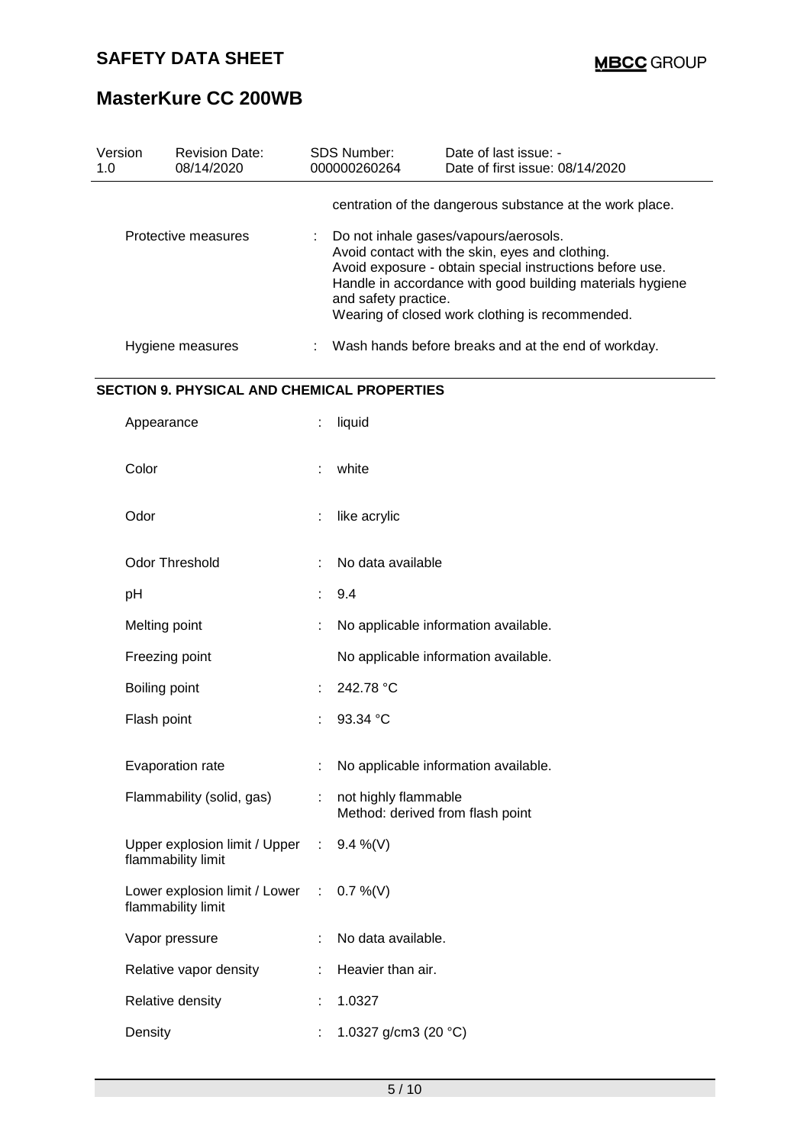# **MasterKure CC 200WB**

| Version<br>1.0 | <b>Revision Date:</b><br>08/14/2020                 |                       | <b>SDS Number:</b><br>000000260264 | Date of last issue: -<br>Date of first issue: 08/14/2020                                                                                                                                                                                                             |
|----------------|-----------------------------------------------------|-----------------------|------------------------------------|----------------------------------------------------------------------------------------------------------------------------------------------------------------------------------------------------------------------------------------------------------------------|
|                |                                                     |                       |                                    | centration of the dangerous substance at the work place.                                                                                                                                                                                                             |
|                | Protective measures                                 |                       | and safety practice.               | Do not inhale gases/vapours/aerosols.<br>Avoid contact with the skin, eyes and clothing.<br>Avoid exposure - obtain special instructions before use.<br>Handle in accordance with good building materials hygiene<br>Wearing of closed work clothing is recommended. |
|                | Hygiene measures                                    |                       |                                    | Wash hands before breaks and at the end of workday.                                                                                                                                                                                                                  |
|                | <b>SECTION 9. PHYSICAL AND CHEMICAL PROPERTIES</b>  |                       |                                    |                                                                                                                                                                                                                                                                      |
|                | Appearance                                          | t                     | liquid                             |                                                                                                                                                                                                                                                                      |
| Color          |                                                     |                       | white                              |                                                                                                                                                                                                                                                                      |
| Odor           |                                                     |                       | like acrylic                       |                                                                                                                                                                                                                                                                      |
|                | <b>Odor Threshold</b>                               |                       | No data available                  |                                                                                                                                                                                                                                                                      |
| pH             |                                                     |                       | 9.4                                |                                                                                                                                                                                                                                                                      |
|                | Melting point                                       |                       |                                    | No applicable information available.                                                                                                                                                                                                                                 |
|                | Freezing point                                      |                       |                                    | No applicable information available.                                                                                                                                                                                                                                 |
|                | Boiling point                                       |                       | 242.78 °C                          |                                                                                                                                                                                                                                                                      |
|                | Flash point                                         |                       | 93.34 °C                           |                                                                                                                                                                                                                                                                      |
|                | Evaporation rate                                    |                       |                                    | No applicable information available.                                                                                                                                                                                                                                 |
|                | Flammability (solid, gas)                           |                       | not highly flammable               | Method: derived from flash point                                                                                                                                                                                                                                     |
|                | Upper explosion limit / Upper<br>flammability limit | $\mathbb{Z}^{\times}$ | $9.4\%$ (V)                        |                                                                                                                                                                                                                                                                      |
|                | Lower explosion limit / Lower<br>flammability limit | ÷.                    | $0.7 \%$ (V)                       |                                                                                                                                                                                                                                                                      |
|                | Vapor pressure                                      |                       | No data available.                 |                                                                                                                                                                                                                                                                      |
|                | Relative vapor density                              |                       | Heavier than air.                  |                                                                                                                                                                                                                                                                      |
|                | Relative density                                    |                       | 1.0327                             |                                                                                                                                                                                                                                                                      |
| Density        |                                                     |                       | 1.0327 g/cm3 (20 °C)               |                                                                                                                                                                                                                                                                      |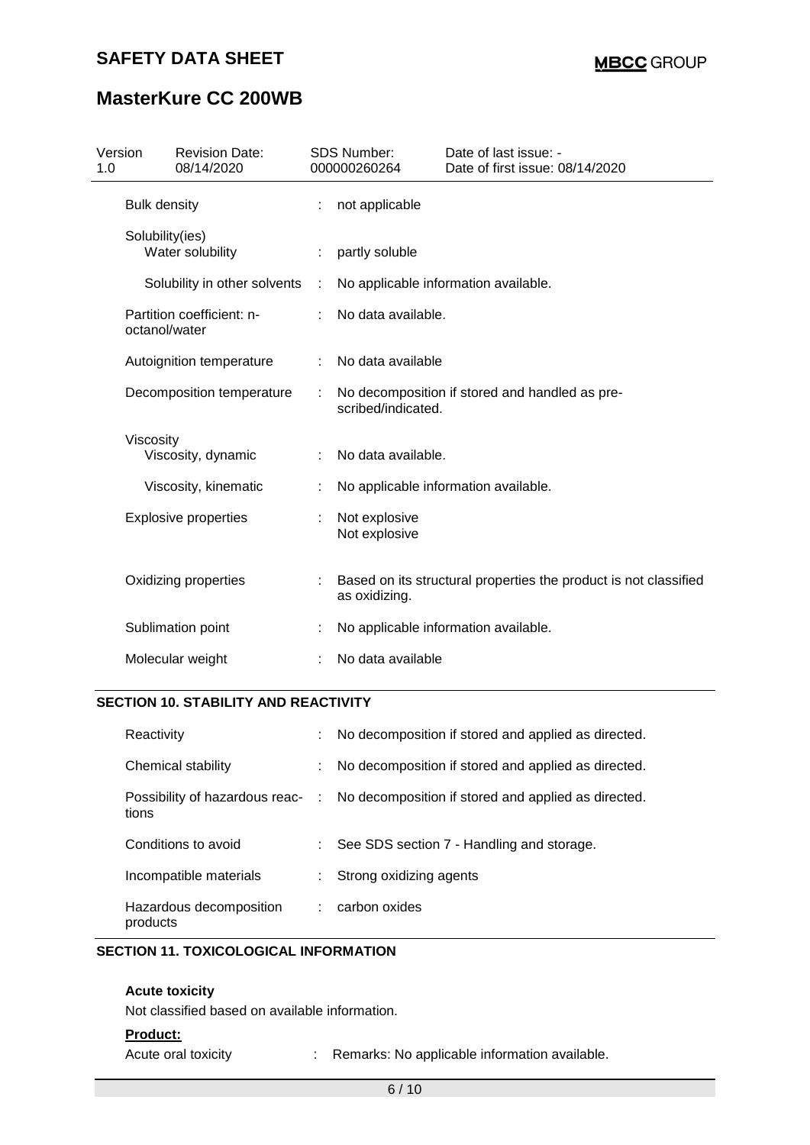# **MasterKure CC 200WB**

| <b>Bulk density</b><br>not applicable<br>÷                                                                |  |
|-----------------------------------------------------------------------------------------------------------|--|
|                                                                                                           |  |
| Solubility(ies)<br>Water solubility<br>partly soluble                                                     |  |
| Solubility in other solvents<br>No applicable information available.<br>÷                                 |  |
| Partition coefficient: n-<br>No data available.<br>octanol/water                                          |  |
| No data available<br>Autoignition temperature<br>÷                                                        |  |
| No decomposition if stored and handled as pre-<br>Decomposition temperature<br>scribed/indicated.         |  |
| Viscosity<br>Viscosity, dynamic<br>No data available.                                                     |  |
| Viscosity, kinematic<br>No applicable information available.                                              |  |
| <b>Explosive properties</b><br>Not explosive<br>Not explosive                                             |  |
| Oxidizing properties<br>Based on its structural properties the product is not classified<br>as oxidizing. |  |
| Sublimation point<br>No applicable information available.                                                 |  |
| Molecular weight<br>No data available                                                                     |  |

#### **SECTION 10. STABILITY AND REACTIVITY**

| Reactivity                              | ÷.            | No decomposition if stored and applied as directed. |
|-----------------------------------------|---------------|-----------------------------------------------------|
| Chemical stability                      | ÷.            | No decomposition if stored and applied as directed. |
| Possibility of hazardous reac-<br>tions | $\mathcal{L}$ | No decomposition if stored and applied as directed. |
| Conditions to avoid                     | t.            | See SDS section 7 - Handling and storage.           |
| Incompatible materials                  | ÷.            | Strong oxidizing agents                             |
| Hazardous decomposition<br>products     |               | carbon oxides                                       |

#### **SECTION 11. TOXICOLOGICAL INFORMATION**

#### **Acute toxicity**

Not classified based on available information.

#### **Product:**

Acute oral toxicity : Remarks: No applicable information available.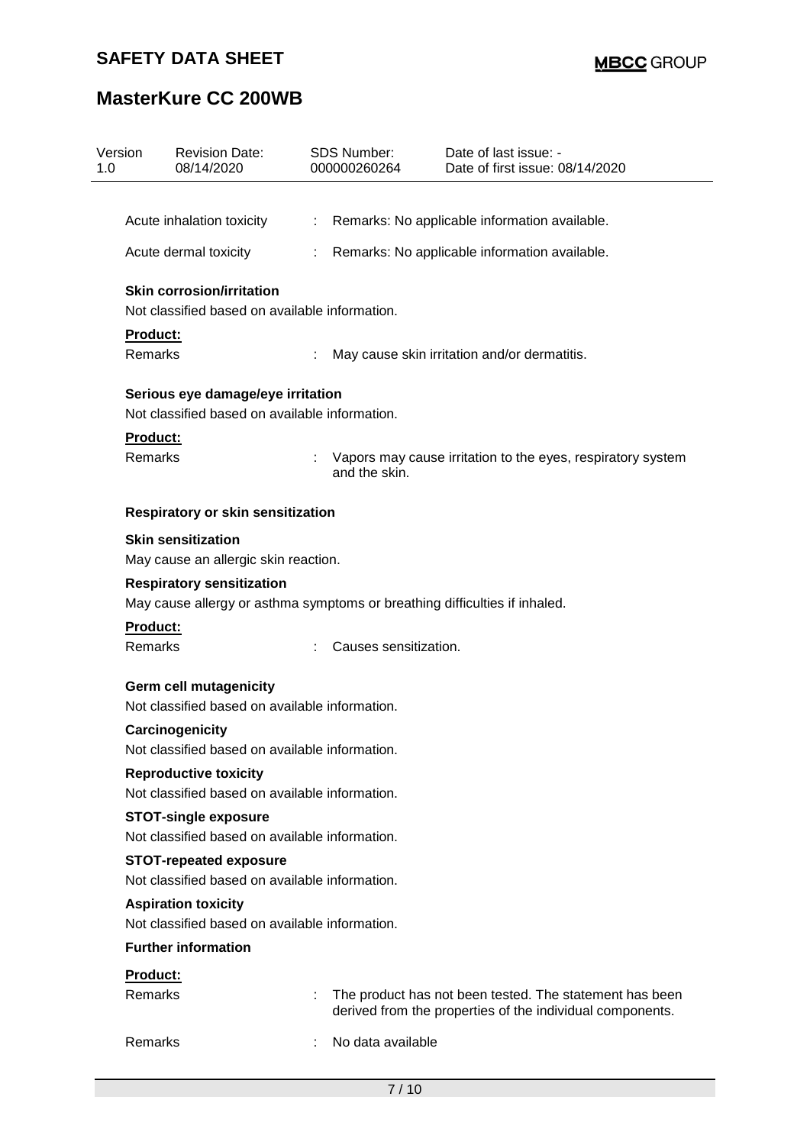# **MasterKure CC 200WB**

| Version<br>1.0 | <b>Revision Date:</b><br>08/14/2020                                                                            | <b>SDS Number:</b><br>000000260264 | Date of last issue: -<br>Date of first issue: 08/14/2020                                                             |  |  |
|----------------|----------------------------------------------------------------------------------------------------------------|------------------------------------|----------------------------------------------------------------------------------------------------------------------|--|--|
|                |                                                                                                                |                                    |                                                                                                                      |  |  |
|                | Acute inhalation toxicity                                                                                      | ÷                                  | Remarks: No applicable information available.                                                                        |  |  |
|                | Acute dermal toxicity                                                                                          |                                    | Remarks: No applicable information available.                                                                        |  |  |
|                | <b>Skin corrosion/irritation</b><br>Not classified based on available information.                             |                                    |                                                                                                                      |  |  |
|                | Product:                                                                                                       |                                    |                                                                                                                      |  |  |
|                | <b>Remarks</b><br>May cause skin irritation and/or dermatitis.                                                 |                                    |                                                                                                                      |  |  |
|                | Serious eye damage/eye irritation                                                                              |                                    |                                                                                                                      |  |  |
|                | Not classified based on available information.                                                                 |                                    |                                                                                                                      |  |  |
|                | <b>Product:</b><br>Remarks                                                                                     | and the skin.                      | Vapors may cause irritation to the eyes, respiratory system                                                          |  |  |
|                | <b>Respiratory or skin sensitization</b>                                                                       |                                    |                                                                                                                      |  |  |
|                | <b>Skin sensitization</b>                                                                                      |                                    |                                                                                                                      |  |  |
|                | May cause an allergic skin reaction.                                                                           |                                    |                                                                                                                      |  |  |
|                | <b>Respiratory sensitization</b><br>May cause allergy or asthma symptoms or breathing difficulties if inhaled. |                                    |                                                                                                                      |  |  |
|                | Product:<br>Remarks                                                                                            | Causes sensitization.              |                                                                                                                      |  |  |
|                | <b>Germ cell mutagenicity</b><br>Not classified based on available information.                                |                                    |                                                                                                                      |  |  |
|                | Carcinogenicity<br>Not classified based on available information.                                              |                                    |                                                                                                                      |  |  |
|                | <b>Reproductive toxicity</b>                                                                                   |                                    |                                                                                                                      |  |  |
|                | Not classified based on available information.                                                                 |                                    |                                                                                                                      |  |  |
|                | <b>STOT-single exposure</b><br>Not classified based on available information.                                  |                                    |                                                                                                                      |  |  |
|                | <b>STOT-repeated exposure</b>                                                                                  |                                    |                                                                                                                      |  |  |
|                | Not classified based on available information.                                                                 |                                    |                                                                                                                      |  |  |
|                | <b>Aspiration toxicity</b>                                                                                     |                                    |                                                                                                                      |  |  |
|                | Not classified based on available information.                                                                 |                                    |                                                                                                                      |  |  |
|                | <b>Further information</b>                                                                                     |                                    |                                                                                                                      |  |  |
|                | Product:                                                                                                       |                                    |                                                                                                                      |  |  |
|                | Remarks                                                                                                        |                                    | The product has not been tested. The statement has been<br>derived from the properties of the individual components. |  |  |
|                | <b>Remarks</b>                                                                                                 | No data available                  |                                                                                                                      |  |  |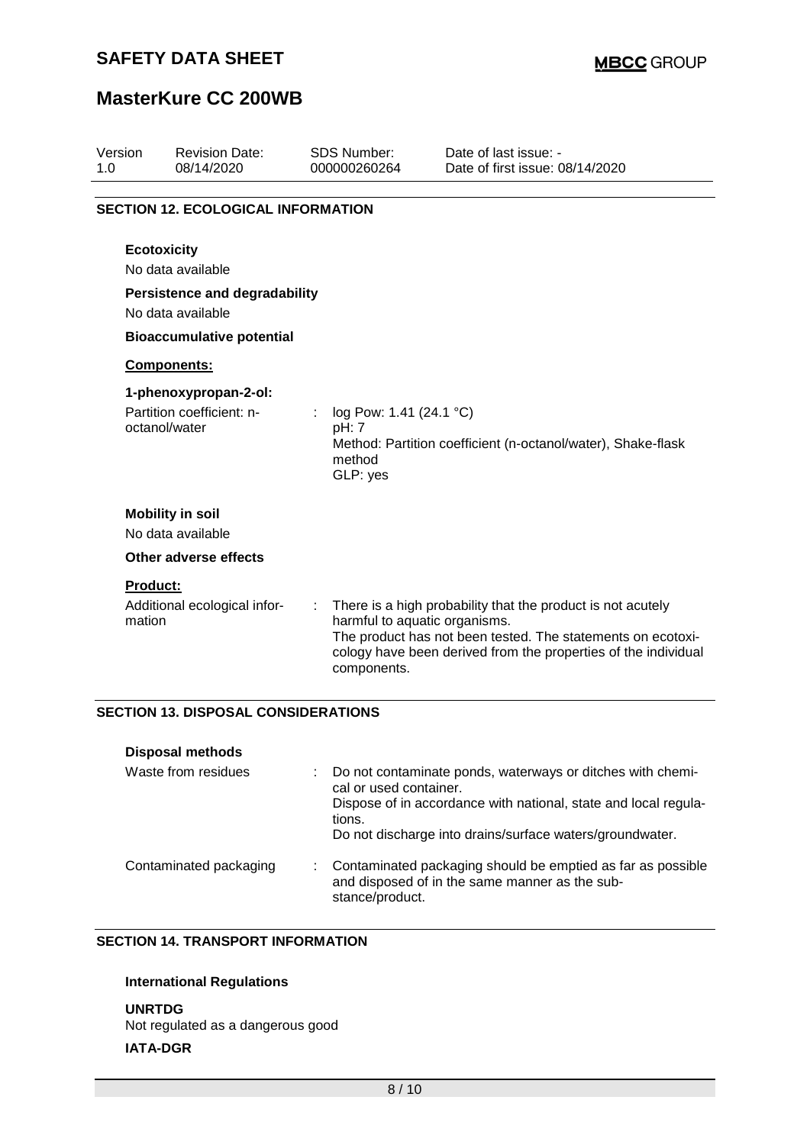# **MasterKure CC 200WB**

| Version<br>1.0 | <b>Revision Date:</b><br>08/14/2020                                                           | SDS Number:<br>000000260264                            | Date of last issue: -<br>Date of first issue: 08/14/2020                                                                                                                                     |
|----------------|-----------------------------------------------------------------------------------------------|--------------------------------------------------------|----------------------------------------------------------------------------------------------------------------------------------------------------------------------------------------------|
|                | <b>SECTION 12. ECOLOGICAL INFORMATION</b>                                                     |                                                        |                                                                                                                                                                                              |
|                | <b>Ecotoxicity</b><br>No data available                                                       |                                                        |                                                                                                                                                                                              |
|                | <b>Persistence and degradability</b><br>No data available<br><b>Bioaccumulative potential</b> |                                                        |                                                                                                                                                                                              |
|                | Components:                                                                                   |                                                        |                                                                                                                                                                                              |
|                | 1-phenoxypropan-2-ol:<br>Partition coefficient: n-<br>octanol/water                           | log Pow: 1.41 (24.1 °C)<br>pH: 7<br>method<br>GLP: yes | Method: Partition coefficient (n-octanol/water), Shake-flask                                                                                                                                 |
|                | <b>Mobility in soil</b><br>No data available                                                  |                                                        |                                                                                                                                                                                              |
|                | <b>Other adverse effects</b>                                                                  |                                                        |                                                                                                                                                                                              |
| mation         | <b>Product:</b><br>Additional ecological infor-                                               | harmful to aquatic organisms.<br>components.           | There is a high probability that the product is not acutely<br>The product has not been tested. The statements on ecotoxi-<br>cology have been derived from the properties of the individual |

### **SECTION 13. DISPOSAL CONSIDERATIONS**

| <b>Disposal methods</b> |                                                                                                                                                                                                                               |
|-------------------------|-------------------------------------------------------------------------------------------------------------------------------------------------------------------------------------------------------------------------------|
| Waste from residues     | Do not contaminate ponds, waterways or ditches with chemi-<br>cal or used container.<br>Dispose of in accordance with national, state and local regula-<br>tions.<br>Do not discharge into drains/surface waters/groundwater. |
| Contaminated packaging  | Contaminated packaging should be emptied as far as possible<br>and disposed of in the same manner as the sub-<br>stance/product.                                                                                              |

### **SECTION 14. TRANSPORT INFORMATION**

#### **International Regulations**

#### **UNRTDG**

Not regulated as a dangerous good

#### **IATA-DGR**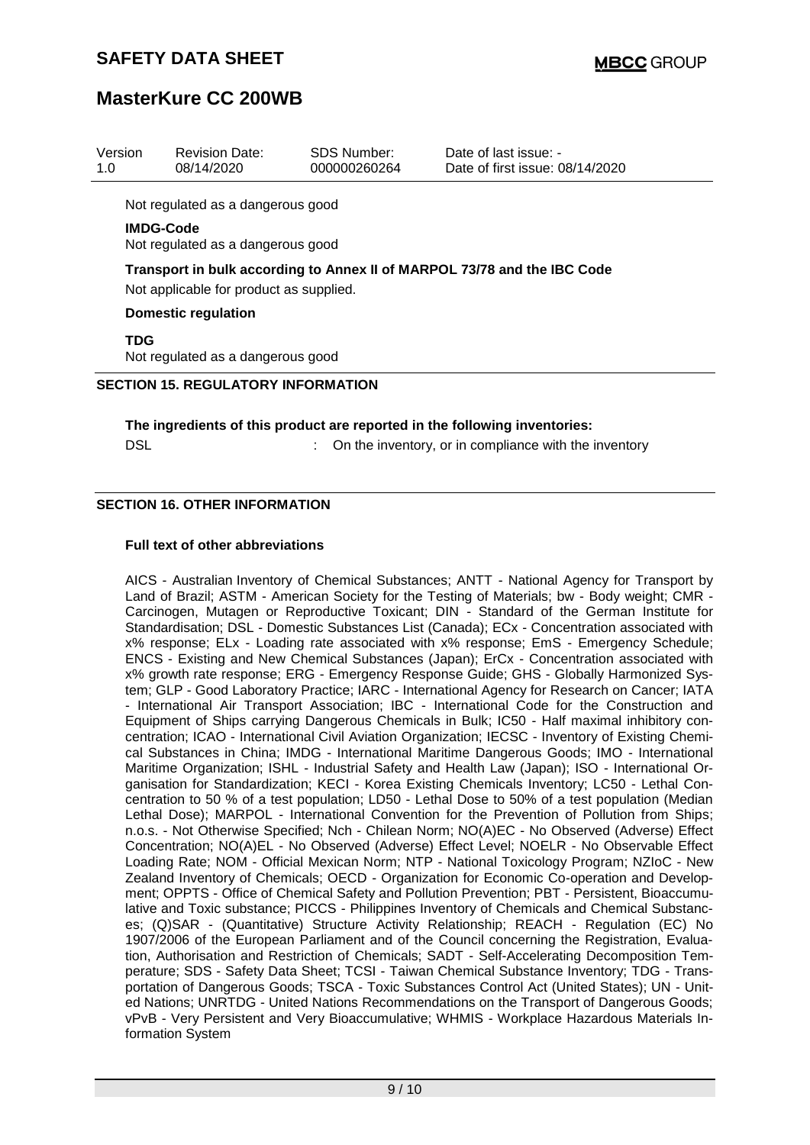## **MasterKure CC 200WB**

| Version<br>1.0                                                                                                      | <b>Revision Date:</b><br>08/14/2020                   | SDS Number:<br>000000260264 | Date of last issue: -<br>Date of first issue: 08/14/2020                   |  |  |
|---------------------------------------------------------------------------------------------------------------------|-------------------------------------------------------|-----------------------------|----------------------------------------------------------------------------|--|--|
|                                                                                                                     | Not regulated as a dangerous good                     |                             |                                                                            |  |  |
|                                                                                                                     | <b>IMDG-Code</b><br>Not regulated as a dangerous good |                             |                                                                            |  |  |
| Transport in bulk according to Annex II of MARPOL 73/78 and the IBC Code<br>Not applicable for product as supplied. |                                                       |                             |                                                                            |  |  |
|                                                                                                                     | <b>Domestic regulation</b>                            |                             |                                                                            |  |  |
| <b>TDG</b>                                                                                                          | Not regulated as a dangerous good                     |                             |                                                                            |  |  |
| <b>SECTION 15. REGULATORY INFORMATION</b>                                                                           |                                                       |                             |                                                                            |  |  |
|                                                                                                                     |                                                       |                             | The ingredients of this product are reported in the following inventories: |  |  |

DSL **EXECUTE:** On the inventory, or in compliance with the inventory

#### **SECTION 16. OTHER INFORMATION**

#### **Full text of other abbreviations**

AICS - Australian Inventory of Chemical Substances; ANTT - National Agency for Transport by Land of Brazil; ASTM - American Society for the Testing of Materials; bw - Body weight; CMR - Carcinogen, Mutagen or Reproductive Toxicant; DIN - Standard of the German Institute for Standardisation; DSL - Domestic Substances List (Canada); ECx - Concentration associated with x% response; ELx - Loading rate associated with x% response; EmS - Emergency Schedule; ENCS - Existing and New Chemical Substances (Japan); ErCx - Concentration associated with x% growth rate response; ERG - Emergency Response Guide; GHS - Globally Harmonized System; GLP - Good Laboratory Practice; IARC - International Agency for Research on Cancer; IATA - International Air Transport Association; IBC - International Code for the Construction and Equipment of Ships carrying Dangerous Chemicals in Bulk; IC50 - Half maximal inhibitory concentration; ICAO - International Civil Aviation Organization; IECSC - Inventory of Existing Chemical Substances in China; IMDG - International Maritime Dangerous Goods; IMO - International Maritime Organization; ISHL - Industrial Safety and Health Law (Japan); ISO - International Organisation for Standardization; KECI - Korea Existing Chemicals Inventory; LC50 - Lethal Concentration to 50 % of a test population; LD50 - Lethal Dose to 50% of a test population (Median Lethal Dose); MARPOL - International Convention for the Prevention of Pollution from Ships; n.o.s. - Not Otherwise Specified; Nch - Chilean Norm; NO(A)EC - No Observed (Adverse) Effect Concentration; NO(A)EL - No Observed (Adverse) Effect Level; NOELR - No Observable Effect Loading Rate; NOM - Official Mexican Norm; NTP - National Toxicology Program; NZIoC - New Zealand Inventory of Chemicals; OECD - Organization for Economic Co-operation and Development; OPPTS - Office of Chemical Safety and Pollution Prevention; PBT - Persistent, Bioaccumulative and Toxic substance; PICCS - Philippines Inventory of Chemicals and Chemical Substances; (Q)SAR - (Quantitative) Structure Activity Relationship; REACH - Regulation (EC) No 1907/2006 of the European Parliament and of the Council concerning the Registration, Evaluation, Authorisation and Restriction of Chemicals; SADT - Self-Accelerating Decomposition Temperature; SDS - Safety Data Sheet; TCSI - Taiwan Chemical Substance Inventory; TDG - Transportation of Dangerous Goods; TSCA - Toxic Substances Control Act (United States); UN - United Nations; UNRTDG - United Nations Recommendations on the Transport of Dangerous Goods; vPvB - Very Persistent and Very Bioaccumulative; WHMIS - Workplace Hazardous Materials Information System